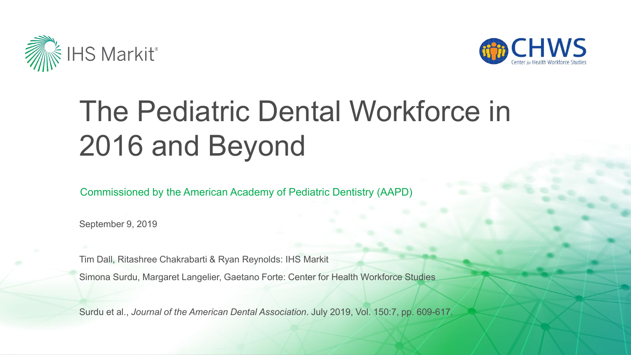



# The Pediatric Dental Workforce in 2016 and Beyond

Commissioned by the American Academy of Pediatric Dentistry (AAPD)

September 9, 2019

Tim Dall, Ritashree Chakrabarti & Ryan Reynolds: IHS Markit

Simona Surdu, Margaret Langelier, Gaetano Forte: Center for Health Workforce Studies

Surdu et al., *Journal of the American Dental Association*. July 2019, Vol. 150:7, pp. 609-617.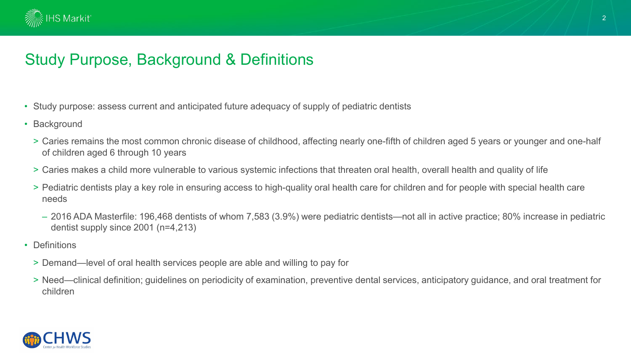

# Study Purpose, Background & Definitions

- Study purpose: assess current and anticipated future adequacy of supply of pediatric dentists
- Background
	- > Caries remains the most common chronic disease of childhood, affecting nearly one-fifth of children aged 5 years or younger and one-half of children aged 6 through 10 years
	- > Caries makes a child more vulnerable to various systemic infections that threaten oral health, overall health and quality of life
	- > Pediatric dentists play a key role in ensuring access to high-quality oral health care for children and for people with special health care needs
		- 2016 ADA Masterfile: 196,468 dentists of whom 7,583 (3.9%) were pediatric dentists—not all in active practice; 80% increase in pediatric dentist supply since 2001 (n=4,213)
- Definitions
	- > Demand—level of oral health services people are able and willing to pay for
	- > Need—clinical definition; guidelines on periodicity of examination, preventive dental services, anticipatory guidance, and oral treatment for children

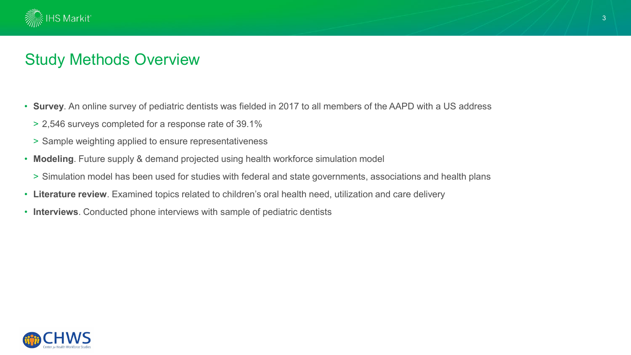

### Study Methods Overview

- **Survey**. An online survey of pediatric dentists was fielded in 2017 to all members of the AAPD with a US address
	- > 2,546 surveys completed for a response rate of 39.1%
	- > Sample weighting applied to ensure representativeness
- **Modeling**. Future supply & demand projected using health workforce simulation model
	- > Simulation model has been used for studies with federal and state governments, associations and health plans
- **Literature review**. Examined topics related to children's oral health need, utilization and care delivery
- **Interviews**. Conducted phone interviews with sample of pediatric dentists

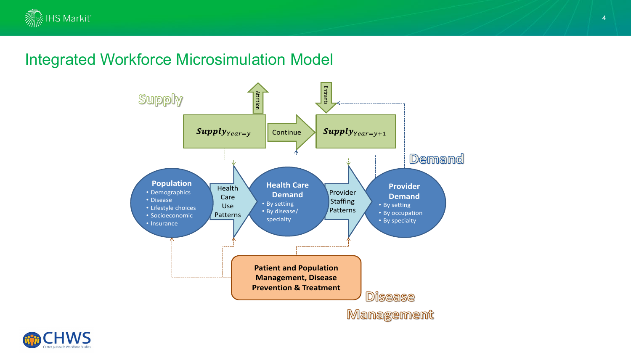

### Integrated Workforce Microsimulation Model



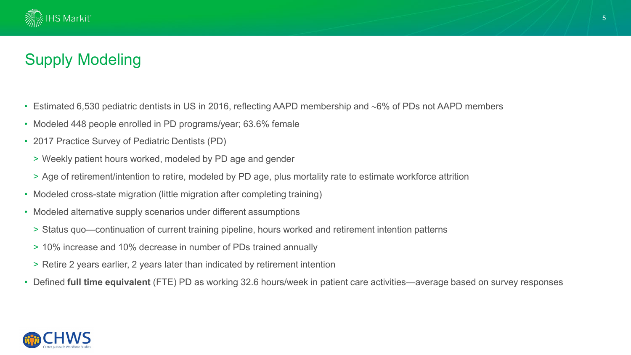

# Supply Modeling

- Estimated 6,530 pediatric dentists in US in 2016, reflecting AAPD membership and ∼6% of PDs not AAPD members
- Modeled 448 people enrolled in PD programs/year; 63.6% female
- 2017 Practice Survey of Pediatric Dentists (PD)
	- > Weekly patient hours worked, modeled by PD age and gender
	- > Age of retirement/intention to retire, modeled by PD age, plus mortality rate to estimate workforce attrition
- Modeled cross-state migration (little migration after completing training)
- Modeled alternative supply scenarios under different assumptions
	- > Status quo—continuation of current training pipeline, hours worked and retirement intention patterns
	- > 10% increase and 10% decrease in number of PDs trained annually
	- > Retire 2 years earlier, 2 years later than indicated by retirement intention
- Defined **full time equivalent** (FTE) PD as working 32.6 hours/week in patient care activities—average based on survey responses

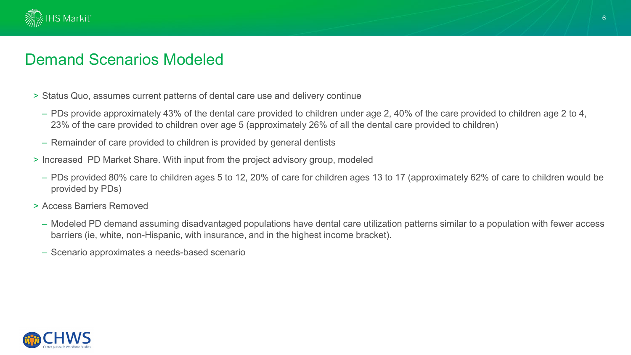

#### Demand Scenarios Modeled

- > Status Quo, assumes current patterns of dental care use and delivery continue
	- PDs provide approximately 43% of the dental care provided to children under age 2, 40% of the care provided to children age 2 to 4, 23% of the care provided to children over age 5 (approximately 26% of all the dental care provided to children)
	- Remainder of care provided to children is provided by general dentists
- > Increased PD Market Share. With input from the project advisory group, modeled
	- PDs provided 80% care to children ages 5 to 12, 20% of care for children ages 13 to 17 (approximately 62% of care to children would be provided by PDs)
- > Access Barriers Removed
	- Modeled PD demand assuming disadvantaged populations have dental care utilization patterns similar to a population with fewer access barriers (ie, white, non-Hispanic, with insurance, and in the highest income bracket).
	- Scenario approximates a needs-based scenario

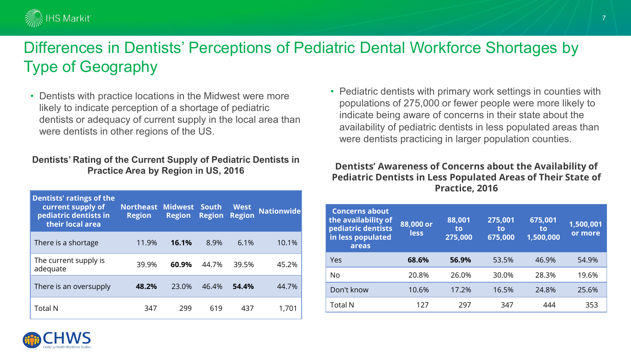

### Differences in Dentists' Perceptions of Pediatric Dental Workforce Shortages by Type of Geography

• Dentists with practice locations in the Midwest were more likely to indicate perception of a shortage of pediatric dentists or adequacy of current supply in the local area than were dentists in other regions of the US.

#### **Dentists' Rating of the Current Supply of Pediatric Dentists in Practice Area by Region in US, 2016**

| <b>Dentists' ratings of the</b><br>current supply of<br>pediatric dentists in<br>their local area | <b>Northeast</b><br><b>Region</b> | <b>Midwest</b><br><b>Region</b> | <b>South</b><br><b>Region</b> | <b>West</b><br><b>Region</b> | <b>Nationwide</b> |
|---------------------------------------------------------------------------------------------------|-----------------------------------|---------------------------------|-------------------------------|------------------------------|-------------------|
| There is a shortage                                                                               | 11.9%                             | 16.1%                           | 8.9%                          | 6.1%                         | 10.1%             |
| The current supply is<br>adequate                                                                 | 39.9%                             | 60.9%                           | 44.7%                         | 39.5%                        | 45.2%             |
| There is an oversupply                                                                            | 48.2%                             | 23.0%                           | 46.4%                         | 54.4%                        | 44.7%             |
| <b>Total N</b>                                                                                    | 347                               | 299                             | 619                           | 437                          | 1,701             |

• Pediatric dentists with primary work settings in counties with populations of 275,000 or fewer people were more likely to indicate being aware of concerns in their state about the availability of pediatric dentists in less populated areas than were dentists practicing in larger population counties.

#### **Dentists' Awareness of Concerns about the Availability of Pediatric Dentists in Less Populated Areas of Their State of Practice, 2016**

| <b>Concerns about</b><br>the availability of<br>pediatric dentists<br>in less populated<br>areas | 88,000 or<br><b>less</b> | 88,001<br>to<br>275,000 | 275,001<br>to<br>675,000 | 675,001<br>to<br>1,500,000 | 1,500,001<br>or more |
|--------------------------------------------------------------------------------------------------|--------------------------|-------------------------|--------------------------|----------------------------|----------------------|
| Yes                                                                                              | 68.6%                    | 56.9%                   | 53.5%                    | 46.9%                      | 54.9%                |
| No                                                                                               | 20.8%                    | 26.0%                   | 30.0%                    | 28.3%                      | 19.6%                |
| Don't know                                                                                       | 10.6%                    | 17.2%                   | 16.5%                    | 24.8%                      | 25.6%                |
| <b>Total N</b>                                                                                   | 127                      | 297                     | 347                      | 444                        | 353                  |

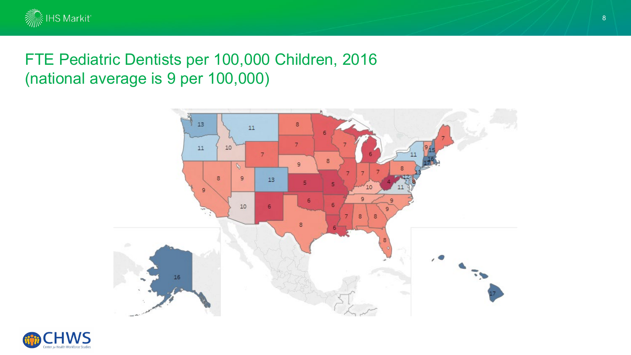

# FTE Pediatric Dentists per 100,000 Children, 2016 (national average is 9 per 100,000)



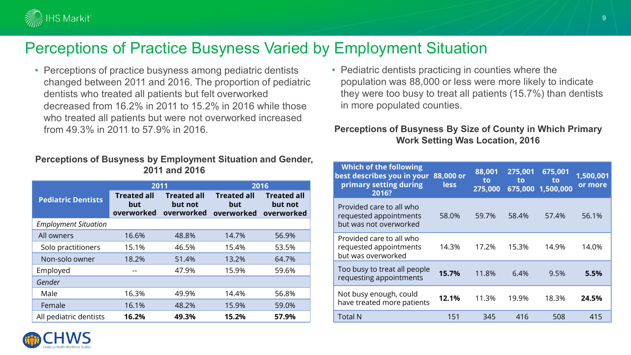

# Perceptions of Practice Busyness Varied by Employment Situation

• Perceptions of practice busyness among pediatric dentists changed between 2011 and 2016. The proportion of pediatric dentists who treated all patients but felt overworked decreased from 16.2% in 2011 to 15.2% in 2016 while those who treated all patients but were not overworked increased from 49.3% in 2011 to 57.9% in 2016.

#### **Perceptions of Busyness by Employment Situation and Gender, 2011 and 2016**

|                             | 2011                                    |                                             | 2016                                    |                                             |  |
|-----------------------------|-----------------------------------------|---------------------------------------------|-----------------------------------------|---------------------------------------------|--|
| <b>Pediatric Dentists</b>   | <b>Treated all</b><br>but<br>overworked | <b>Treated all</b><br>but not<br>overworked | <b>Treated all</b><br>but<br>overworked | <b>Treated all</b><br>but not<br>overworked |  |
| <b>Employment Situation</b> |                                         |                                             |                                         |                                             |  |
| All owners                  | 16.6%                                   | 48.8%                                       | 14.7%                                   | 56.9%                                       |  |
| Solo practitioners          | 15.1%                                   | 46.5%                                       | 15.4%                                   | 53.5%                                       |  |
| Non-solo owner              | 18.2%                                   | 51.4%                                       | 13.2%                                   | 64.7%                                       |  |
| Employed                    |                                         | 47.9%                                       | 15.9%                                   | 59.6%                                       |  |
| Gender                      |                                         |                                             |                                         |                                             |  |
| Male                        | 16.3%                                   | 49.9%                                       | 14.4%                                   | 56.8%                                       |  |
| Female                      | 16.1%                                   | 48.2%                                       | 15.9%                                   | 59.0%                                       |  |
| All pediatric dentists      | 16.2%                                   | 49.3%                                       | 15.2%                                   | 57.9%                                       |  |

• Pediatric dentists practicing in counties where the population was 88,000 or less were more likely to indicate they were too busy to treat all patients (15.7%) than dentists in more populated counties.

#### **Perceptions of Busyness By Size of County in Which Primary Work Setting Was Location, 2016**

| <b>Which of the following</b><br>best describes you in your<br>primary setting during<br>2016? | 88,000 or<br><b>less</b> | 88,001<br>to<br>275,000 | 275,001<br>to<br>675,000 | 675,001<br>to<br>1,500,000 | 1,500,001<br>or more |
|------------------------------------------------------------------------------------------------|--------------------------|-------------------------|--------------------------|----------------------------|----------------------|
| Provided care to all who<br>requested appointments<br>but was not overworked                   | 58.0%                    | 59.7%                   | 58.4%                    | 57.4%                      | 56.1%                |
| Provided care to all who<br>requested appointments<br>but was overworked                       | 14.3%                    | 17.2%                   | 15.3%                    | 14.9%                      | 14.0%                |
| Too busy to treat all people<br>requesting appointments                                        | 15.7%                    | 11.8%                   | 6.4%                     | 9.5%                       | 5.5%                 |
| Not busy enough, could<br>have treated more patients                                           | 12.1%                    | 11.3%                   | 19.9%                    | 18.3%                      | 24.5%                |
| <b>Total N</b>                                                                                 | 151                      | 345                     | 416                      | 508                        | 415                  |

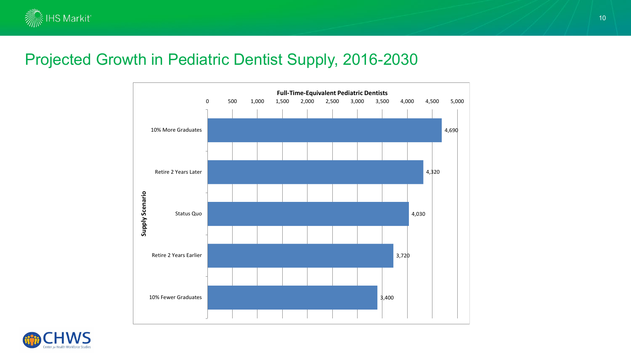

#### Projected Growth in Pediatric Dentist Supply, 2016-2030



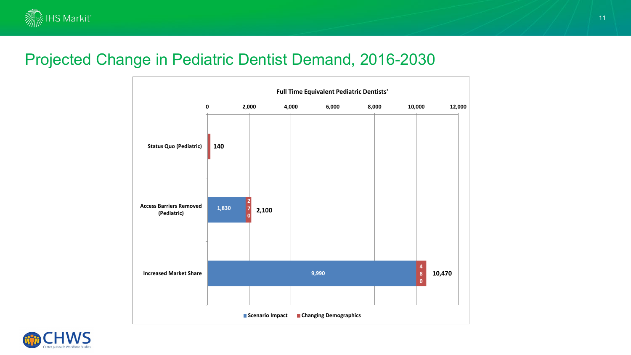

#### Projected Change in Pediatric Dentist Demand, 2016-2030



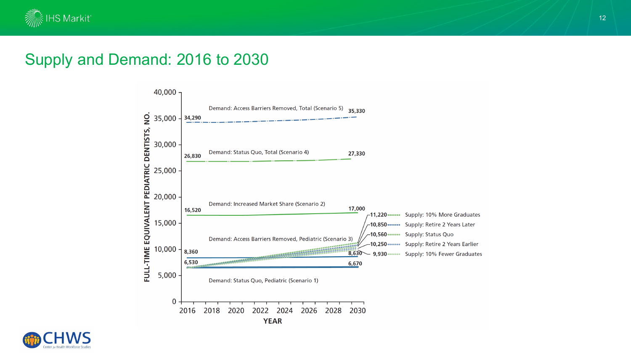

### Supply and Demand: 2016 to 2030